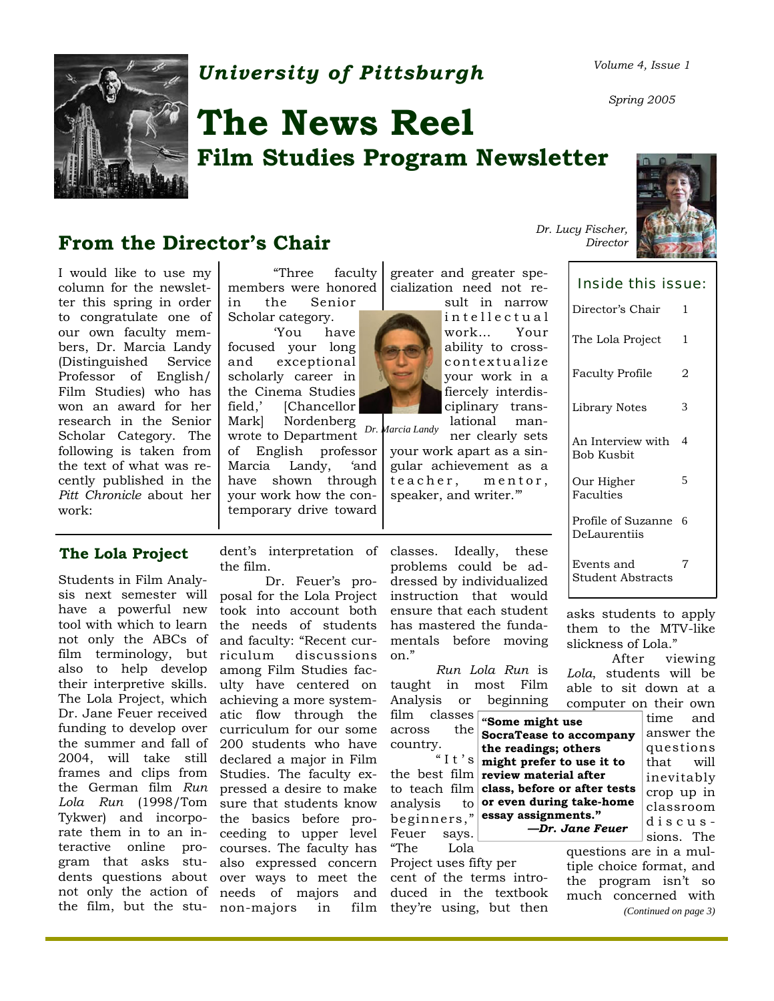

### *University of Pittsburgh Volume 4, Issue 1*

# **The News Reel Film Studies Program Newsletter**

### **From the Director's Chair**

I would like to use my  $\vert$  "Three faculty greater and greater spe-<br>column for the newslet- members were honored cialization need not recolumn for the newsletter this spring in order to congratulate one of our own faculty members, Dr. Marcia Landy (Distinguished Professor of English/ Film Studies) who has won an award for her research in the Senior Scholar Category. The following is taken from the text of what was recently published in the *Pitt Chronicle* about her work:

"Three faculty

in the Senior Scholar category.

 'You have focused your long and exceptional scholarly career in the Cinema Studies field,' [Chancellor Mark] Nordenberg *Dr. Marcia Landy* wrote to Department of English professor Marcia Landy, 'and have shown through your work how the contemporary drive toward

sult in narrow in tellectual work… Your ability to crosscontextualize your work in a fiercely interdisciplinary trans-

lational man-

cialization need not re-

ner clearly sets your work apart as a singular achievement as a teacher, mentor, speaker, and writer.'"

| The Lola Project                   | 1 |
|------------------------------------|---|
| <b>Faculty Profile</b>             | 2 |
| Library Notes                      | 3 |
| An Interview with<br>Bob Kusbit    | 4 |
| Our Higher<br>Faculties            | 5 |
| Profile of Suzanne<br>DeLaurentiis |   |
| Events and<br>Student Abstracts    | 7 |

asks students to apply them to the MTV-like slickness of Lola."

 After viewing *Lola*, students will be able to sit down at a computer on their own

> time and answer the questions that will inevitably crop up in classroom discussions. The

questions are in a multiple choice format, and the program isn't so much concerned with *(Continued on page 3)* 

*—Dr. Jane Feuer* 

#### **The Lola Project**

Students in Film Analysis next semester will have a powerful new tool with which to learn not only the ABCs of film terminology, but also to help develop their interpretive skills. The Lola Project, which Dr. Jane Feuer received funding to develop over the summer and fall of 2004, will take still frames and clips from the German film *Run Lola Run* (1998/Tom Tykwer) and incorporate them in to an interactive online program that asks stu-

dent's interpretation of classes. Ideally, these the film.

dents questions about over ways to meet the cent of the terms intronot only the action of needs of majors and duced in the textbook the film, but the stu-non-majors in film they're using, but then Dr. Feuer's proposal for the Lola Project took into account both the needs of students and faculty: "Recent curriculum discussions among Film Studies faculty have centered on achieving a more systematic flow through the curriculum for our some 200 students who have declared a major in Film Studies. The faculty expressed a desire to make sure that students know the basics before proceeding to upper level courses. The faculty has also expressed concern Project uses fifty per

problems could be addressed by individualized instruction that would ensure that each student has mastered the fundamentals before moving on."

*Run Lola Run* is taught in most Film Analysis or beginning

film classes across country. "It's **"Some might use SocraTease to accompany the readings; others might prefer to use it to** 

the best film **review material after**  to teach film **class, before or after tests**  analysis to beginners," **essay assignments."**  Feuer says. **or even during take-home** 

"The Lola

*Spring 2005* 

Director's Chair 1 *Dr. Lucy Fischer,* 

greater and greater spe-*Director*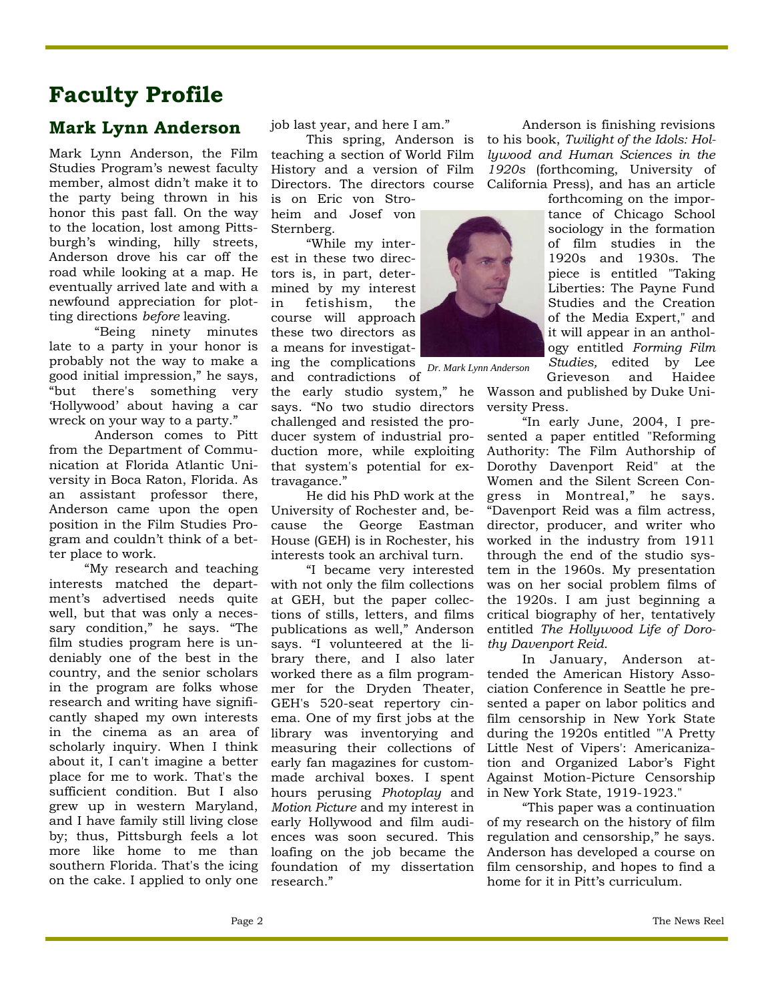### **Faculty Profile**

### **Mark Lynn Anderson** job last year, and here I am." Anderson is finishing revisions

Mark Lynn Anderson, the Film Studies Program's newest faculty member, almost didn't make it to the party being thrown in his honor this past fall. On the way to the location, lost among Pittsburgh's winding, hilly streets, Anderson drove his car off the road while looking at a map. He eventually arrived late and with a newfound appreciation for plotting directions *before* leaving.

 "Being ninety minutes late to a party in your honor is probably not the way to make a good initial impression," he says, "but there's something very 'Hollywood' about having a car wreck on your way to a party."

 Anderson comes to Pitt from the Department of Communication at Florida Atlantic University in Boca Raton, Florida. As an assistant professor there, Anderson came upon the open position in the Film Studies Program and couldn't think of a better place to work.

 "My research and teaching interests matched the department's advertised needs quite well, but that was only a necessary condition," he says. "The film studies program here is undeniably one of the best in the country, and the senior scholars in the program are folks whose research and writing have significantly shaped my own interests in the cinema as an area of scholarly inquiry. When I think about it, I can't imagine a better place for me to work. That's the sufficient condition. But I also grew up in western Maryland, and I have family still living close by; thus, Pittsburgh feels a lot more like home to me than southern Florida. That's the icing on the cake. I applied to only one

job last year, and here I am."

 This spring, Anderson is teaching a section of World Film History and a version of Film Directors. The directors course California Press), and has an article

is on Eric von Stroheim and Josef von Sternberg.

 "While my interest in these two directors is, in part, determined by my interest in fetishism, the course will approach these two directors as a means for investigating the complications *Dr. Mark Lynn Anderson* 

and contradictions of

the early studio system," he says. "No two studio directors challenged and resisted the producer system of industrial production more, while exploiting that system's potential for extravagance."

 He did his PhD work at the University of Rochester and, because the George Eastman House (GEH) is in Rochester, his interests took an archival turn.

 "I became very interested with not only the film collections at GEH, but the paper collections of stills, letters, and films publications as well," Anderson says. "I volunteered at the library there, and I also later worked there as a film programmer for the Dryden Theater, GEH's 520-seat repertory cinema. One of my first jobs at the library was inventorying and measuring their collections of early fan magazines for custommade archival boxes. I spent hours perusing *Photoplay* and *Motion Picture* and my interest in early Hollywood and film audiences was soon secured. This loafing on the job became the foundation of my dissertation research."

ogy entitled *Forming Film Studies,* edited by Lee Grieveson and Haidee Wasson and published by Duke University Press.

to his book, *Twilight of the Idols: Hollywood and Human Sciences in the 1920s* (forthcoming, University of

> forthcoming on the importance of Chicago School sociology in the formation of film studies in the 1920s and 1930s. The piece is entitled "Taking Liberties: The Payne Fund Studies and the Creation of the Media Expert," and it will appear in an anthol-

 "In early June, 2004, I presented a paper entitled "Reforming Authority: The Film Authorship of Dorothy Davenport Reid" at the Women and the Silent Screen Congress in Montreal," he says. "Davenport Reid was a film actress, director, producer, and writer who worked in the industry from 1911 through the end of the studio system in the 1960s. My presentation was on her social problem films of the 1920s. I am just beginning a critical biography of her, tentatively entitled *The Hollywood Life of Dorothy Davenport Reid*.

 In January, Anderson attended the American History Association Conference in Seattle he presented a paper on labor politics and film censorship in New York State during the 1920s entitled "'A Pretty Little Nest of Vipers': Americanization and Organized Labor's Fight Against Motion-Picture Censorship in New York State, 1919-1923."

 "This paper was a continuation of my research on the history of film regulation and censorship," he says. Anderson has developed a course on film censorship, and hopes to find a home for it in Pitt's curriculum.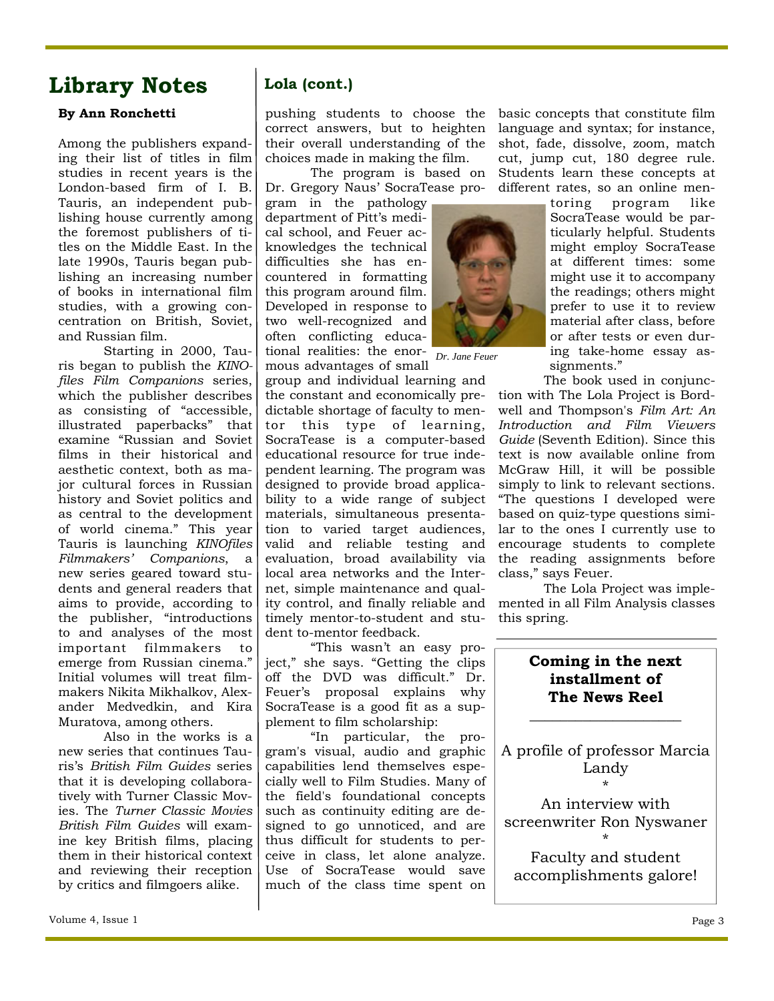### **Library Notes**

#### **By Ann Ronchetti**

Among the publishers expanding their list of titles in film studies in recent years is the London-based firm of I. B. Tauris, an independent publishing house currently among the foremost publishers of titles on the Middle East. In the late 1990s, Tauris began publishing an increasing number of books in international film studies, with a growing concentration on British, Soviet, and Russian film.

 Starting in 2000, Tauris began to publish the *KINOfiles Film Companions* series, which the publisher describes as consisting of "accessible, illustrated paperbacks" that examine "Russian and Soviet films in their historical and aesthetic context, both as major cultural forces in Russian history and Soviet politics and as central to the development of world cinema." This year Tauris is launching *KINOfiles Filmmakers' Companions*, a new series geared toward students and general readers that aims to provide, according to the publisher, "introductions to and analyses of the most important filmmakers to emerge from Russian cinema." Initial volumes will treat filmmakers Nikita Mikhalkov, Alexander Medvedkin, and Kira Muratova, among others.

 Also in the works is a new series that continues Tauris's *British Film Guides* series that it is developing collaboratively with Turner Classic Movies. The *Turner Classic Movies British Film Guides* will examine key British films, placing them in their historical context and reviewing their reception by critics and filmgoers alike.

### **Lola (cont.)**

pushing students to choose the correct answers, but to heighten their overall understanding of the choices made in making the film.

 The program is based on Dr. Gregory Naus' SocraTease pro-

gram in the pathology department of Pitt's medical school, and Feuer acknowledges the technical difficulties she has encountered in formatting this program around film. Developed in response to two well-recognized and often conflicting educational realities: the enor-*Dr. Jane Feuer*  mous advantages of small

group and individual learning and the constant and economically predictable shortage of faculty to mentor this type of learning, SocraTease is a computer-based educational resource for true independent learning. The program was designed to provide broad applicability to a wide range of subject materials, simultaneous presentation to varied target audiences, valid and reliable testing and evaluation, broad availability via local area networks and the Internet, simple maintenance and quality control, and finally reliable and timely mentor-to-student and student to-mentor feedback.

 "This wasn't an easy project," she says. "Getting the clips off the DVD was difficult." Dr. Feuer's proposal explains why SocraTease is a good fit as a supplement to film scholarship:

 "In particular, the program's visual, audio and graphic capabilities lend themselves especially well to Film Studies. Many of the field's foundational concepts such as continuity editing are designed to go unnoticed, and are thus difficult for students to perceive in class, let alone analyze. Use of SocraTease would save much of the class time spent on

basic concepts that constitute film language and syntax; for instance, shot, fade, dissolve, zoom, match cut, jump cut, 180 degree rule. Students learn these concepts at different rates, so an online men-



might employ SocraTease at different times: some might use it to accompany the readings; others might prefer to use it to review material after class, before or after tests or even during take-home essay as-

toring program like SocraTease would be particularly helpful. Students

signments." The book used in conjunction with The Lola Project is Bordwell and Thompson's *Film Art: An Introduction and Film Viewers Guide* (Seventh Edition). Since this text is now available online from McGraw Hill, it will be possible simply to link to relevant sections. "The questions I developed were based on quiz-type questions similar to the ones I currently use to encourage students to complete the reading assignments before

class," says Feuer. The Lola Project was implemented in all Film Analysis classes this spring.

#### **Coming in the next installment of The News Reel**

**\_\_\_\_\_\_\_\_\_\_\_\_\_\_\_\_\_\_\_\_** 

A profile of professor Marcia Landy \*

An interview with screenwriter Ron Nyswaner

\* Faculty and student accomplishments galore!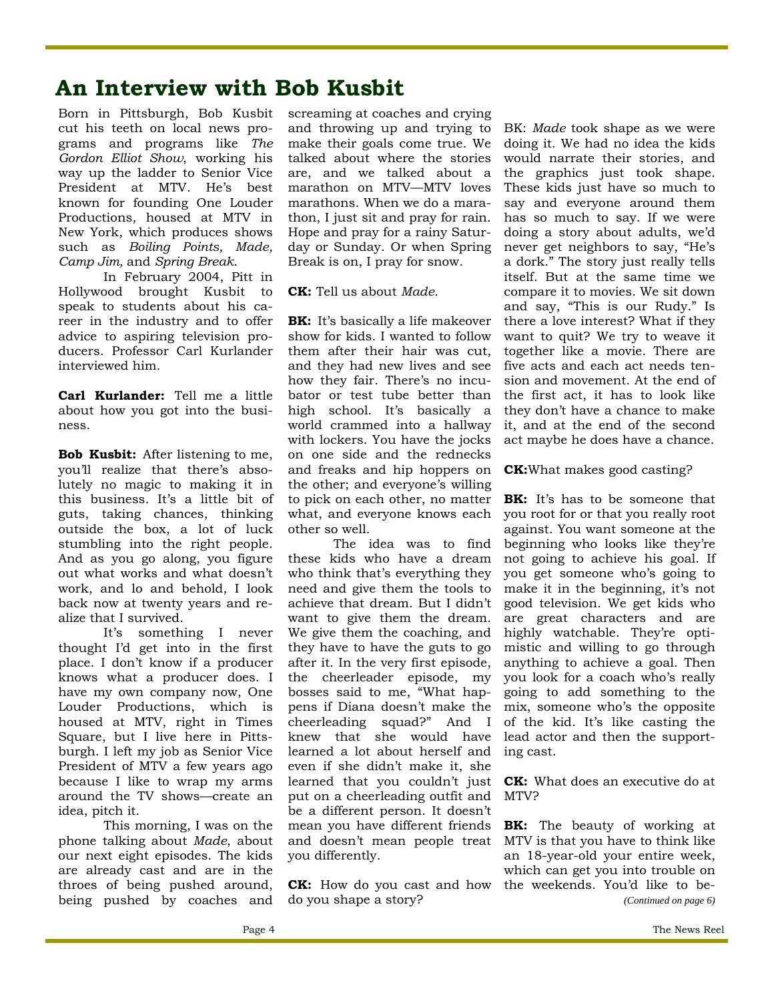### **An Interview with Bob Kusbit**

Born in Pittsburgh, Bob Kusbit cut his teeth on local news programs and programs like *The Gordon Elliot Show*, working his way up the ladder to Senior Vice President at MTV. He's best known for founding One Louder Productions, housed at MTV in New York, which produces shows such as *Boiling Points, Made, Camp Jim,* and *Spring Break*.

 In February 2004, Pitt in Hollywood brought Kusbit to speak to students about his career in the industry and to offer advice to aspiring television producers. Professor Carl Kurlander interviewed him.

**Carl Kurlander:** Tell me a little about how you got into the business.

**Bob Kusbit:** After listening to me, you'll realize that there's absolutely no magic to making it in this business. It's a little bit of guts, taking chances, thinking outside the box, a lot of luck stumbling into the right people. And as you go along, you figure out what works and what doesn't work, and lo and behold, I look back now at twenty years and realize that I survived.

 It's something I never thought I'd get into in the first place. I don't know if a producer knows what a producer does. I have my own company now, One Louder Productions, which is housed at MTV, right in Times Square, but I live here in Pittsburgh. I left my job as Senior Vice President of MTV a few years ago because I like to wrap my arms around the TV shows—create an idea, pitch it.

 This morning, I was on the phone talking about *Made*, about our next eight episodes. The kids are already cast and are in the throes of being pushed around, being pushed by coaches and

screaming at coaches and crying and throwing up and trying to make their goals come true. We talked about where the stories are, and we talked about a marathon on MTV—MTV loves marathons. When we do a marathon, I just sit and pray for rain. Hope and pray for a rainy Saturday or Sunday. Or when Spring Break is on, I pray for snow.

**CK:** Tell us about *Made*.

**BK:** It's basically a life makeover show for kids. I wanted to follow them after their hair was cut, and they had new lives and see how they fair. There's no incubator or test tube better than high school. It's basically a world crammed into a hallway with lockers. You have the jocks on one side and the rednecks and freaks and hip hoppers on the other; and everyone's willing to pick on each other, no matter what, and everyone knows each other so well.

 The idea was to find these kids who have a dream who think that's everything they need and give them the tools to achieve that dream. But I didn't want to give them the dream. We give them the coaching, and they have to have the guts to go after it. In the very first episode, the cheerleader episode, my bosses said to me, "What happens if Diana doesn't make the cheerleading squad?" And I knew that she would have learned a lot about herself and even if she didn't make it, she learned that you couldn't just put on a cheerleading outfit and be a different person. It doesn't mean you have different friends and doesn't mean people treat you differently.

**CK:** How do you cast and how do you shape a story?

BK: *Made* took shape as we were doing it. We had no idea the kids would narrate their stories, and the graphics just took shape. These kids just have so much to say and everyone around them has so much to say. If we were doing a story about adults, we'd never get neighbors to say, "He's a dork." The story just really tells itself. But at the same time we compare it to movies. We sit down and say, "This is our Rudy." Is there a love interest? What if they want to quit? We try to weave it together like a movie. There are five acts and each act needs tension and movement. At the end of the first act, it has to look like they don't have a chance to make it, and at the end of the second act maybe he does have a chance.

**CK:**What makes good casting?

**BK:** It's has to be someone that you root for or that you really root against. You want someone at the beginning who looks like they're not going to achieve his goal. If you get someone who's going to make it in the beginning, it's not good television. We get kids who are great characters and are highly watchable. They're optimistic and willing to go through anything to achieve a goal. Then you look for a coach who's really going to add something to the mix, someone who's the opposite of the kid. It's like casting the lead actor and then the supporting cast.

**CK:** What does an executive do at MTV?

**BK:** The beauty of working at MTV is that you have to think like an 18-year-old your entire week, which can get you into trouble on the weekends. You'd like to be- *(Continued on page 6)*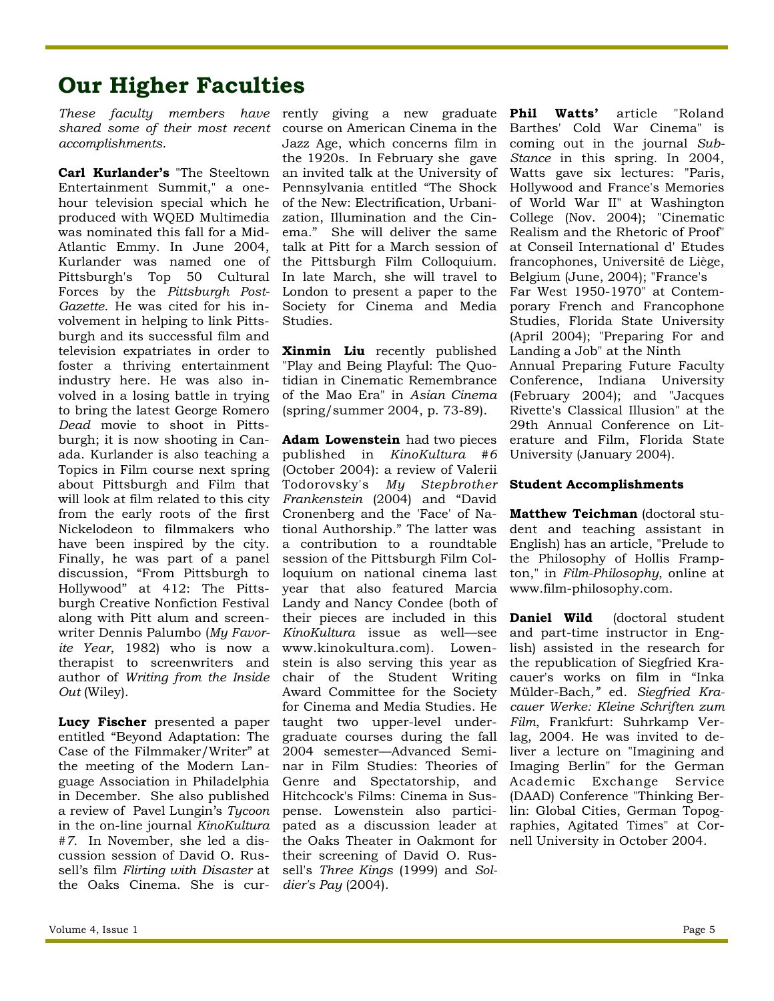## **Our Higher Faculties**

*accomplishments.* 

**Carl Kurlander's** "The Steeltown Entertainment Summit," a onehour television special which he produced with WQED Multimedia was nominated this fall for a Mid-Atlantic Emmy. In June 2004, Kurlander was named one of Pittsburgh's Top 50 Cultural Forces by the *Pittsburgh Post-Gazette*. He was cited for his involvement in helping to link Pittsburgh and its successful film and television expatriates in order to foster a thriving entertainment industry here. He was also involved in a losing battle in trying to bring the latest George Romero *Dead* movie to shoot in Pittsburgh; it is now shooting in Canada. Kurlander is also teaching a Topics in Film course next spring about Pittsburgh and Film that will look at film related to this city from the early roots of the first Nickelodeon to filmmakers who have been inspired by the city. Finally, he was part of a panel discussion, "From Pittsburgh to Hollywood" at 412: The Pittsburgh Creative Nonfiction Festival along with Pitt alum and screenwriter Dennis Palumbo (*My Favorite Year*, 1982) who is now a therapist to screenwriters and author of *Writing from the Inside Out* (Wiley).

**Lucy Fischer** presented a paper entitled "Beyond Adaptation: The Case of the Filmmaker/Writer" at the meeting of the Modern Language Association in Philadelphia in December. She also published a review of Pavel Lungin's *Tycoon* in the on-line journal *KinoKultura #7.* In November, she led a discussion session of David O. Russell's film *Flirting with Disaster* at the Oaks Cinema. She is cur-

These faculty members have rently giving a new graduate *shared some of their most recent*  course on American Cinema in the Jazz Age, which concerns film in the 1920s. In February she gave an invited talk at the University of Pennsylvania entitled "The Shock of the New: Electrification, Urbanization, Illumination and the Cinema." She will deliver the same talk at Pitt for a March session of the Pittsburgh Film Colloquium. In late March, she will travel to London to present a paper to the Society for Cinema and Media Studies.

> **Xinmin Liu** recently published "Play and Being Playful: The Quotidian in Cinematic Remembrance of the Mao Era" in *Asian Cinema* (spring/summer 2004, p. 73-89).

**Adam Lowenstein** had two pieces published in *KinoKultura #6*  (October 2004): a review of Valerii Todorovsky's *My Stepbrother Frankenstein* (2004) and "David Cronenberg and the 'Face' of National Authorship." The latter was a contribution to a roundtable session of the Pittsburgh Film Colloquium on national cinema last year that also featured Marcia Landy and Nancy Condee (both of their pieces are included in this *KinoKultura* issue as well—see www.kinokultura.com). Lowenstein is also serving this year as chair of the Student Writing Award Committee for the Society for Cinema and Media Studies. He taught two upper-level undergraduate courses during the fall 2004 semester—Advanced Seminar in Film Studies: Theories of Genre and Spectatorship, and Hitchcock's Films: Cinema in Suspense. Lowenstein also participated as a discussion leader at the Oaks Theater in Oakmont for their screening of David O. Russell's *Three Kings* (1999) and *Soldier's Pay* (2004).

**Phil Watts'** article "Roland Barthes' Cold War Cinema" is coming out in the journal *Sub-Stance* in this spring. In 2004, Watts gave six lectures: "Paris, Hollywood and France's Memories of World War II" at Washington College (Nov. 2004); "Cinematic Realism and the Rhetoric of Proof" at Conseil International d' Etudes francophones, Université de Liège, Belgium (June, 2004); "France's Far West 1950-1970" at Contemporary French and Francophone Studies, Florida State University (April 2004); "Preparing For and Landing a Job" at the Ninth Annual Preparing Future Faculty Conference, Indiana University (February 2004); and "Jacques Rivette's Classical Illusion" at the 29th Annual Conference on Literature and Film, Florida State University (January 2004).

#### **Student Accomplishments**

**Matthew Teichman** (doctoral student and teaching assistant in English) has an article, "Prelude to the Philosophy of Hollis Frampton," in *Film-Philosophy*, online at www.film-philosophy.com.

**Daniel Wild** (doctoral student and part-time instructor in English) assisted in the research for the republication of Siegfried Kracauer's works on film in "Inka Mülder-Bach*,"* ed. *Siegfried Kracauer Werke: Kleine Schriften zum Film*, Frankfurt: Suhrkamp Verlag, 2004. He was invited to deliver a lecture on "Imagining and Imaging Berlin" for the German Academic Exchange Service (DAAD) Conference "Thinking Berlin: Global Cities, German Topographies, Agitated Times" at Cornell University in October 2004.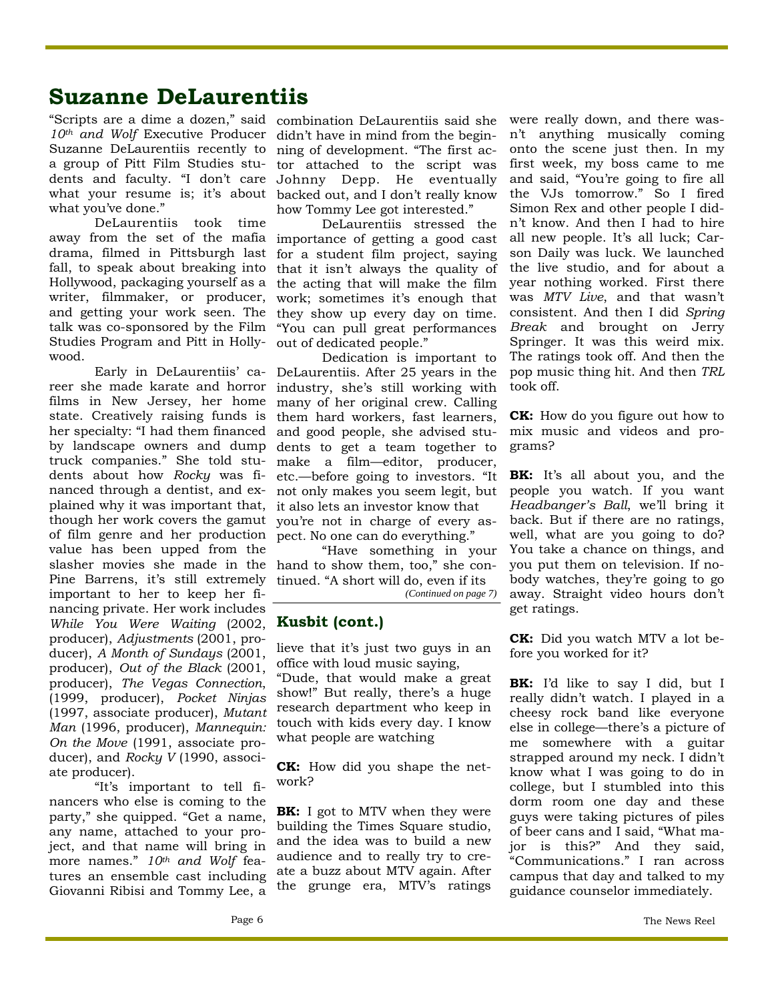### **Suzanne DeLaurentiis**

10<sup>th</sup> and Wolf Executive Producer didn't have in mind from the begin-Suzanne DeLaurentiis recently to ning of development. "The first acwhat you've done."

 DeLaurentiis took time drama, filmed in Pittsburgh last fall, to speak about breaking into Hollywood, packaging yourself as a writer, filmmaker, or producer, and getting your work seen. The talk was co-sponsored by the Film Studies Program and Pitt in Holly-out of dedicated people." wood.

her specialty: "I had them financed and good people, she advised stuplained why it was important that, it also lets an investor know that though her work covers the gamut you're not in charge of every asof film genre and her production pect*.* No one can do everything." value has been upped from the slasher movies she made in the hand to show them, too," she con-Pine Barrens, it's still extremely tinued. "A short will do, even if its important to her to keep her financing private. Her work includes *While You Were Waiting* (2002, **Kusbit (cont.)** producer), *Adjustments* (2001, producer), *A Month of Sundays* (2001, producer), *Out of the Black* (2001, producer), *The Vegas Connection*, (1999, producer), *Pocket Ninjas* (1997, associate producer), *Mutant Man* (1996, producer), *Mannequin: On the Move* (1991, associate producer), and *Rocky V* (1990, associate producer).

 "It's important to tell financers who else is coming to the party," she quipped. "Get a name, any name, attached to your project, and that name will bring in more names." *10th and Wolf* features an ensemble cast including Giovanni Ribisi and Tommy Lee, a

"Scripts are a dime a dozen," said combination DeLaurentiis said she a group of Pitt Film Studies stu-tor attached to the script was dents and faculty. "I don't care Johnny Depp. He eventually what your resume is; it's about backed out, and I don't really know how Tommy Lee got interested."

away from the set of the mafia importance of getting a good cast DeLaurentiis stressed the for a student film project, saying that it isn't always the quality of the acting that will make the film work; sometimes it's enough that they show up every day on time. "You can pull great performances

 Early in DeLaurentiis' ca-DeLaurentiis. After 25 years in the reer she made karate and horror industry, she's still working with films in New Jersey, her home many of her original crew. Calling state. Creatively raising funds is them hard workers, fast learners, by landscape owners and dump dents to get a team together to truck companies." She told stu-make a film—editor, producer, dents about how *Rocky* was fi-etc.—before going to investors. "It nanced through a dentist, and ex-not only makes you seem legit, but Dedication is important to

> "Have something in your *(Continued on page 7)*

lieve that it's just two guys in an office with loud music saying,

"Dude, that would make a great show!" But really, there's a huge research department who keep in touch with kids every day. I know what people are watching

**CK:** How did you shape the network?

**BK:** I got to MTV when they were building the Times Square studio, and the idea was to build a new audience and to really try to create a buzz about MTV again. After the grunge era, MTV's ratings were really down, and there wasn't anything musically coming onto the scene just then. In my first week, my boss came to me and said, "You're going to fire all the VJs tomorrow." So I fired Simon Rex and other people I didn't know. And then I had to hire all new people. It's all luck; Carson Daily was luck. We launched the live studio, and for about a year nothing worked. First there was *MTV Live*, and that wasn't consistent. And then I did *Spring Break* and brought on Jerry Springer. It was this weird mix. The ratings took off. And then the pop music thing hit. And then *TRL* took off.

**CK:** How do you figure out how to mix music and videos and programs?

**BK:** It's all about you, and the people you watch. If you want *Headbanger's Ball*, we'll bring it back. But if there are no ratings, well, what are you going to do? You take a chance on things, and you put them on television. If nobody watches, they're going to go away. Straight video hours don't get ratings.

**CK:** Did you watch MTV a lot before you worked for it?

**BK:** I'd like to say I did, but I really didn't watch. I played in a cheesy rock band like everyone else in college—there's a picture of me somewhere with a guitar strapped around my neck. I didn't know what I was going to do in college, but I stumbled into this dorm room one day and these guys were taking pictures of piles of beer cans and I said, "What major is this?" And they said, "Communications." I ran across campus that day and talked to my guidance counselor immediately.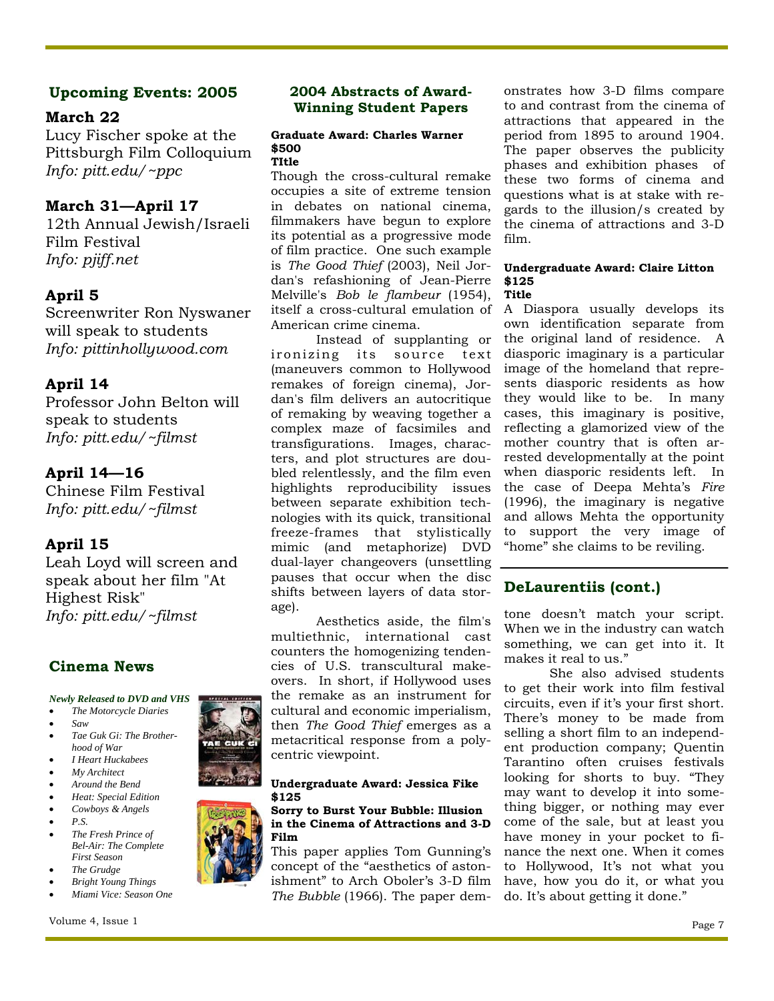#### **Upcoming Events: 2005**

#### **March 22**

Lucy Fischer spoke at the Pittsburgh Film Colloquium *Info: pitt.edu/~ppc* 

#### **March 31—April 17**

12th Annual Jewish/Israeli Film Festival *Info: pjiff.net*

#### **April 5**

Screenwriter Ron Nyswaner will speak to students *Info: pittinhollywood.com* 

#### **April 14**

Professor John Belton will speak to students *Info: pitt.edu/~filmst* 

#### **April 14—16**

Chinese Film Festival *Info: pitt.edu/~filmst* 

#### **April 15**

Leah Loyd will screen and speak about her film "At Highest Risk" *Info: pitt.edu/~filmst* 

#### **Cinema News**

#### *Newly Released to DVD and VHS*

- *The Motorcycle Diaries*
- *Saw*
- *Tae Guk Gi: The Brotherhood of War*
- *I Heart Huckabees*
- *My Architect*
- *Around the Bend*
- *Heat: Special Edition*  • *Cowboys & Angels*
- *P.S.*
- 
- *The Fresh Prince of Bel-Air: The Complete First Season*
- *The Grudge*
- *Bright Young Things*
- *Miami Vice: Season One*

#### **2004 Abstracts of Award-Winning Student Papers**

#### **Graduate Award: Charles Warner \$500 TItle**

Though the cross-cultural remake occupies a site of extreme tension in debates on national cinema, filmmakers have begun to explore its potential as a progressive mode of film practice. One such example is *The Good Thief* (2003), Neil Jordan's refashioning of Jean-Pierre Melville's *Bob le flambeur* (1954), itself a cross-cultural emulation of American crime cinema.

Instead of supplanting or ironizing its source text (maneuvers common to Hollywood remakes of foreign cinema), Jordan's film delivers an autocritique of remaking by weaving together a complex maze of facsimiles and transfigurations. Images, characters, and plot structures are doubled relentlessly, and the film even highlights reproducibility issues between separate exhibition technologies with its quick, transitional freeze-frames that stylistically mimic (and metaphorize) DVD dual-layer changeovers (unsettling pauses that occur when the disc shifts between layers of data storage).

Aesthetics aside, the film's multiethnic, international cast counters the homogenizing tendencies of U.S. transcultural makeovers. In short, if Hollywood uses the remake as an instrument for cultural and economic imperialism, then *The Good Thief* emerges as a metacritical response from a polycentric viewpoint.

#### **Undergraduate Award: Jessica Fike \$125**

#### **Sorry to Burst Your Bubble: Illusion in the Cinema of Attractions and 3-D Film**

This paper applies Tom Gunning's concept of the "aesthetics of astonishment" to Arch Oboler's 3-D film *The Bubble* (1966). The paper dem-

onstrates how 3-D films compare to and contrast from the cinema of attractions that appeared in the period from 1895 to around 1904. The paper observes the publicity phases and exhibition phases of these two forms of cinema and questions what is at stake with regards to the illusion/s created by the cinema of attractions and 3-D film.

#### **Undergraduate Award: Claire Litton \$125 Title**

A Diaspora usually develops its own identification separate from the original land of residence. A diasporic imaginary is a particular image of the homeland that represents diasporic residents as how they would like to be. In many cases, this imaginary is positive, reflecting a glamorized view of the mother country that is often arrested developmentally at the point when diasporic residents left. In the case of Deepa Mehta's *Fire* (1996), the imaginary is negative and allows Mehta the opportunity to support the very image of "home" she claims to be reviling.

#### **DeLaurentiis (cont.)**

tone doesn't match your script. When we in the industry can watch something, we can get into it. It makes it real to us."

 She also advised students to get their work into film festival circuits, even if it's your first short. There's money to be made from selling a short film to an independent production company; Quentin Tarantino often cruises festivals looking for shorts to buy. "They may want to develop it into something bigger, or nothing may ever come of the sale, but at least you have money in your pocket to finance the next one. When it comes to Hollywood, It's not what you have, how you do it, or what you do. It's about getting it done."